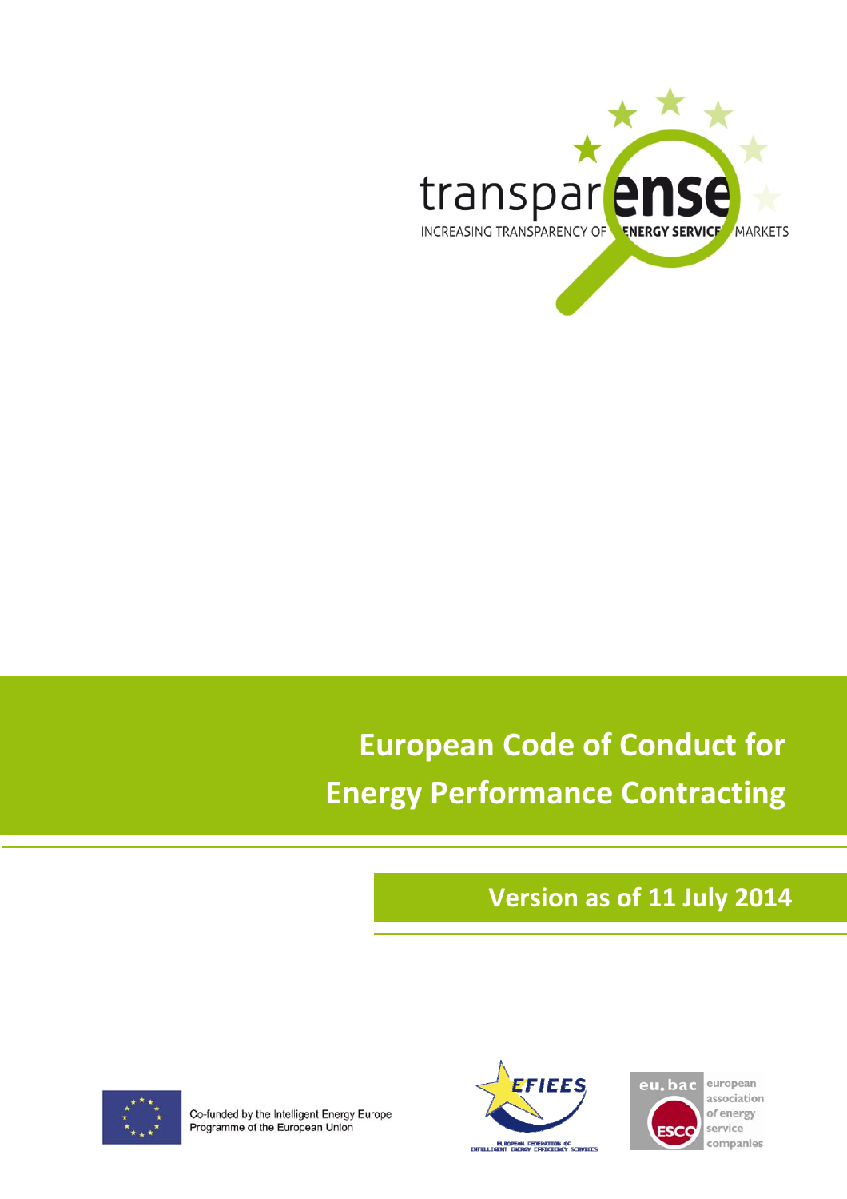

# **Version as of 11 July 2014**



Co-funded by the Intelligent Energy Europe Programme of the European Union





european association of energy service companies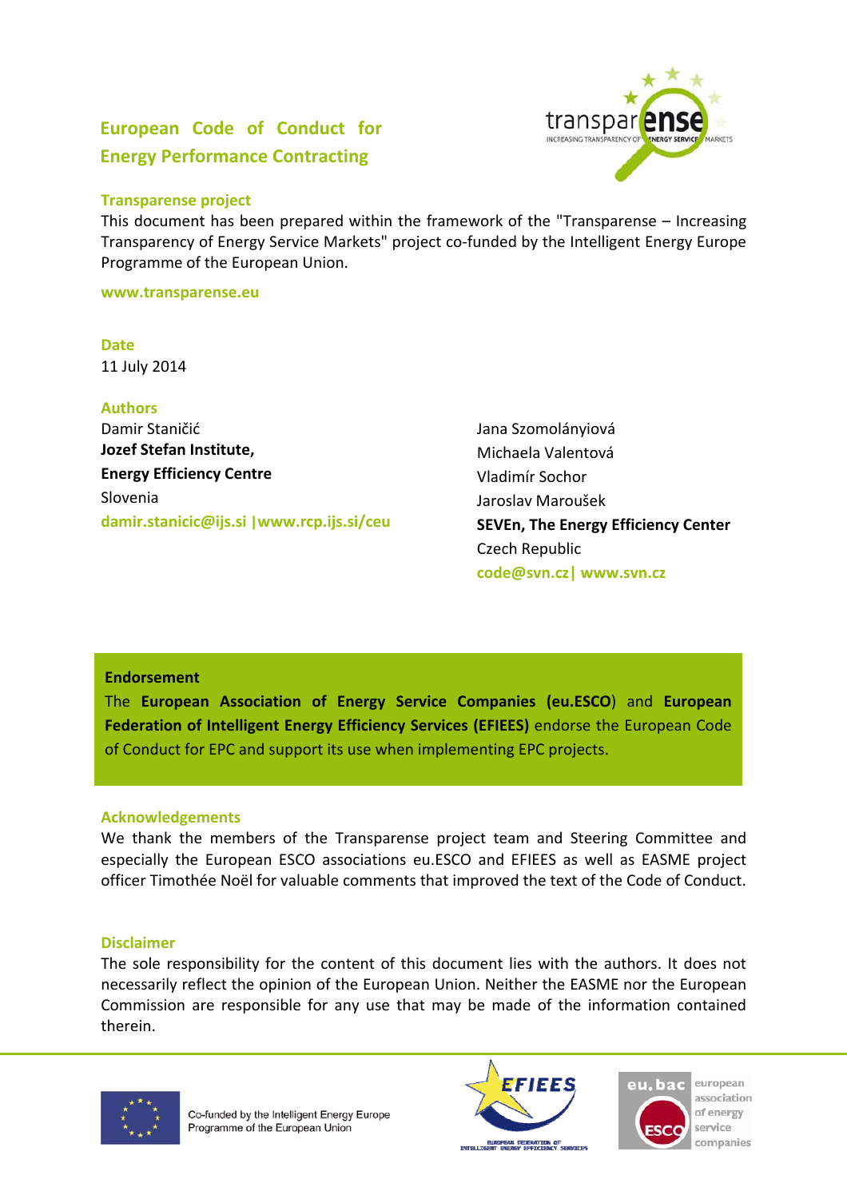

This document has been prepared within the framework of the "Transparense – Increasing Transparency of Energy Service Markets" project co-funded by the Intelligent Energy Europe Programme of the European Union.

**www.transparense.eu**

**Date** 11 July 2014

**Authors** Damir Staničić **Jozef Stefan Institute, Energy Efficiency Centre** Slovenia **damir.stanicic@ijs.si |www.rcp.ijs.si/ceu**

Jana Szomolányiová Michaela Valentová Vladimír Sochor Jaroslav Maroušek **SEVEn, The Energy Efficiency Center** Czech Republic **code@svn.cz| www.svn.cz** 

#### **Endorsement**

The **European Association of Energy Service Companies (eu.ESCO**) and **European Federation of Intelligent Energy Efficiency Services (EFIEES)** endorse the European Code of Conduct for EPC and support its use when implementing EPC projects.

#### **Acknowledgements**

We thank the members of the Transparense project team and Steering Committee and especially the European ESCO associations eu.ESCO and EFIEES as well as EASME project officer Timothée Noël for valuable comments that improved the text of the Code of Conduct.

#### **Disclaimer**

The sole responsibility for the content of this document lies with the authors. It does not necessarily reflect the opinion of the European Union. Neither the EASME nor the European Commission are responsible for any use that may be made of the information contained therein.



Co-funded by the Intelligent Energy Europe Programme of the European Union





european association of energy service companies

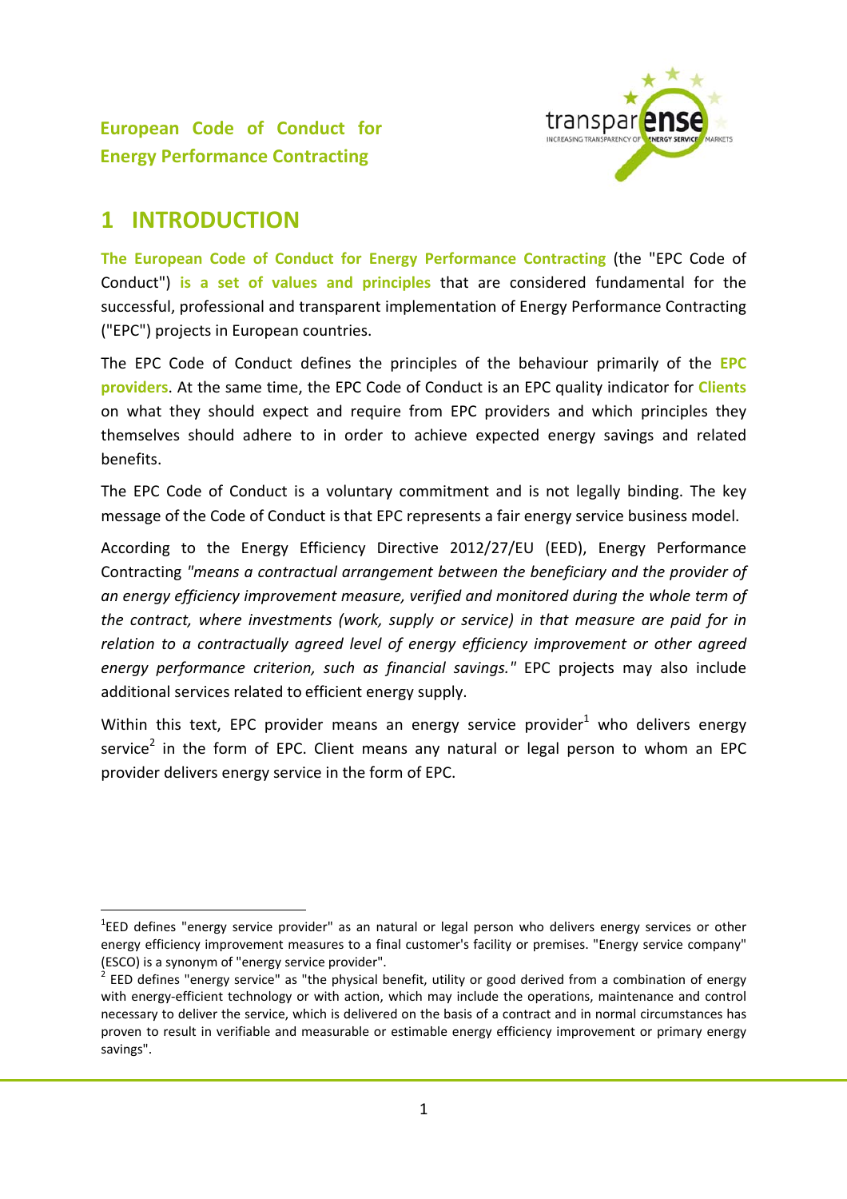

## **1 INTRODUCTION**

**The European Code of Conduct for Energy Performance Contracting** (the "EPC Code of Conduct") **is a set of values and principles** that are considered fundamental for the successful, professional and transparent implementation of Energy Performance Contracting ("EPC") projects in European countries.

The EPC Code of Conduct defines the principles of the behaviour primarily of the **EPC providers**. At the same time, the EPC Code of Conduct is an EPC quality indicator for **Clients** on what they should expect and require from EPC providers and which principles they themselves should adhere to in order to achieve expected energy savings and related benefits.

The EPC Code of Conduct is a voluntary commitment and is not legally binding. The key message of the Code of Conduct is that EPC represents a fair energy service business model.

According to the Energy Efficiency Directive 2012/27/EU (EED), Energy Performance Contracting *"means a contractual arrangement between the beneficiary and the provider of an energy efficiency improvement measure, verified and monitored during the whole term of the contract, where investments (work, supply or service) in that measure are paid for in relation to a contractually agreed level of energy efficiency improvement or other agreed energy performance criterion, such as financial savings."* EPC projects may also include additional services related to efficient energy supply.

Within this text, EPC provider means an energy service provider<sup>1</sup> who delivers energy service<sup>2</sup> in the form of EPC. Client means any natural or legal person to whom an EPC provider delivers energy service in the form of EPC.

<sup>&</sup>lt;sup>1</sup>EED defines "energy service provider" as an natural or legal person who delivers energy services or other energy efficiency improvement measures to a final customer's facility or premises. "Energy service company" (ESCO) is a synonym of "energy service provider".<br><sup>2</sup> EED defines "energy service" as "the physical benefit, utility or good derived from a combination of energy

with energy-efficient technology or with action, which may include the operations, maintenance and control necessary to deliver the service, which is delivered on the basis of a contract and in normal circumstances has proven to result in verifiable and measurable or estimable energy efficiency improvement or primary energy savings".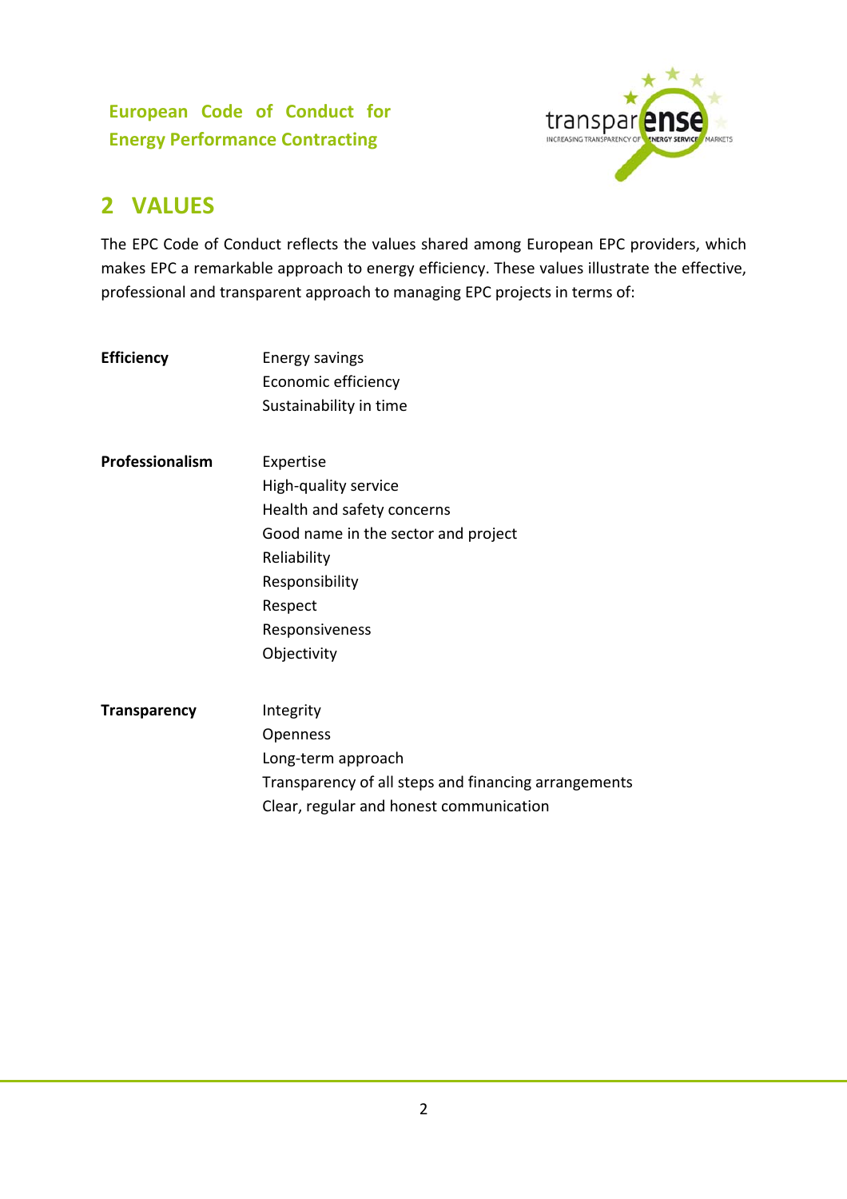

# **2 VALUES**

The EPC Code of Conduct reflects the values shared among European EPC providers, which makes EPC a remarkable approach to energy efficiency. These values illustrate the effective, professional and transparent approach to managing EPC projects in terms of:

| <b>Efficiency</b>   | Energy savings<br>Economic efficiency<br>Sustainability in time                                                                                                                     |
|---------------------|-------------------------------------------------------------------------------------------------------------------------------------------------------------------------------------|
| Professionalism     | Expertise<br>High-quality service<br>Health and safety concerns<br>Good name in the sector and project<br>Reliability<br>Responsibility<br>Respect<br>Responsiveness<br>Objectivity |
| <b>Transparency</b> | Integrity<br>Openness<br>Long-term approach<br>Transparency of all steps and financing arrangements                                                                                 |

Clear, regular and honest communication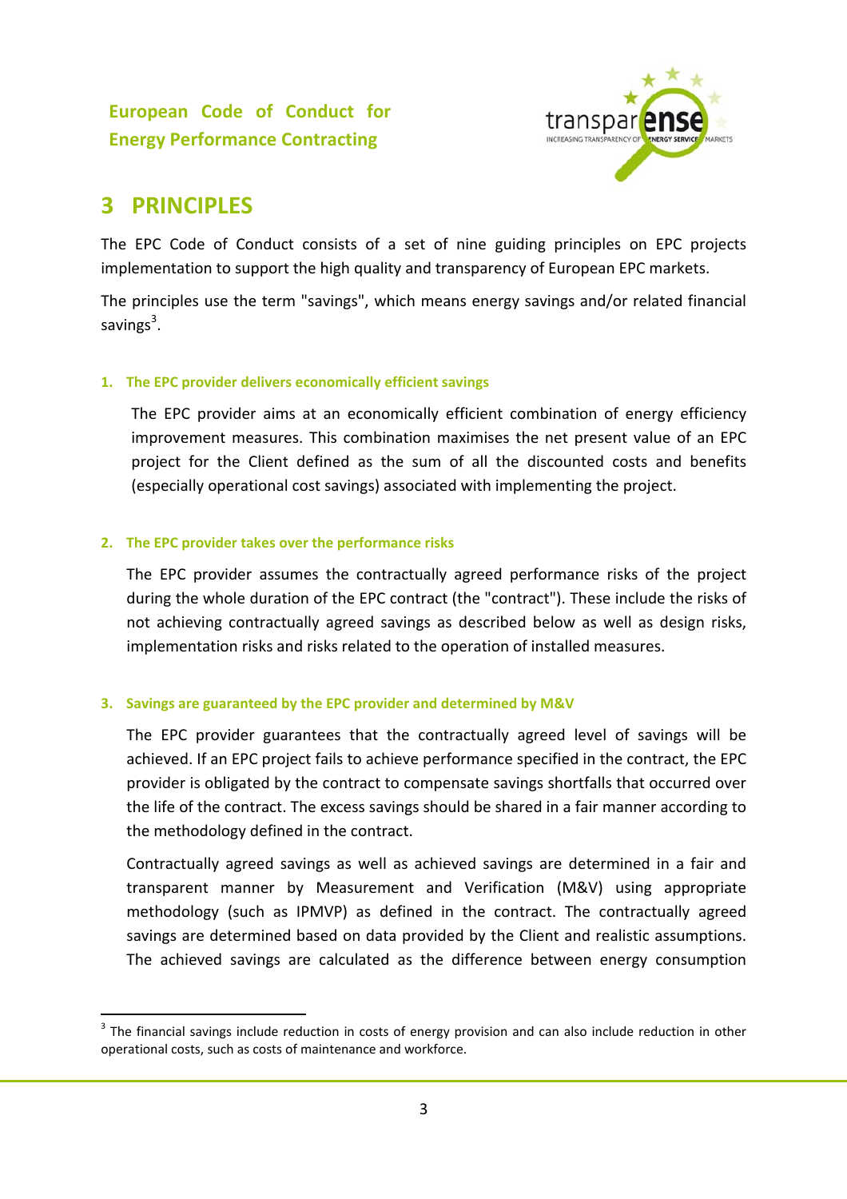

# **3 PRINCIPLES**

The EPC Code of Conduct consists of a set of nine guiding principles on EPC projects implementation to support the high quality and transparency of European EPC markets.

The principles use the term "savings", which means energy savings and/or related financial savings $^3$ .

#### **1. The EPC provider delivers economically efficient savings**

The EPC provider aims at an economically efficient combination of energy efficiency improvement measures. This combination maximises the net present value of an EPC project for the Client defined as the sum of all the discounted costs and benefits (especially operational cost savings) associated with implementing the project.

#### **2. The EPC provider takes over the performance risks**

The EPC provider assumes the contractually agreed performance risks of the project during the whole duration of the EPC contract (the "contract"). These include the risks of not achieving contractually agreed savings as described below as well as design risks, implementation risks and risks related to the operation of installed measures.

#### **3. Savings are guaranteed by the EPC provider and determined by M&V**

The EPC provider guarantees that the contractually agreed level of savings will be achieved. If an EPC project fails to achieve performance specified in the contract, the EPC provider is obligated by the contract to compensate savings shortfalls that occurred over the life of the contract. The excess savings should be shared in a fair manner according to the methodology defined in the contract.

Contractually agreed savings as well as achieved savings are determined in a fair and transparent manner by Measurement and Verification (M&V) using appropriate methodology (such as IPMVP) as defined in the contract. The contractually agreed savings are determined based on data provided by the Client and realistic assumptions. The achieved savings are calculated as the difference between energy consumption

<sup>&</sup>lt;sup>3</sup> The financial savings include reduction in costs of energy provision and can also include reduction in other operational costs, such as costs of maintenance and workforce.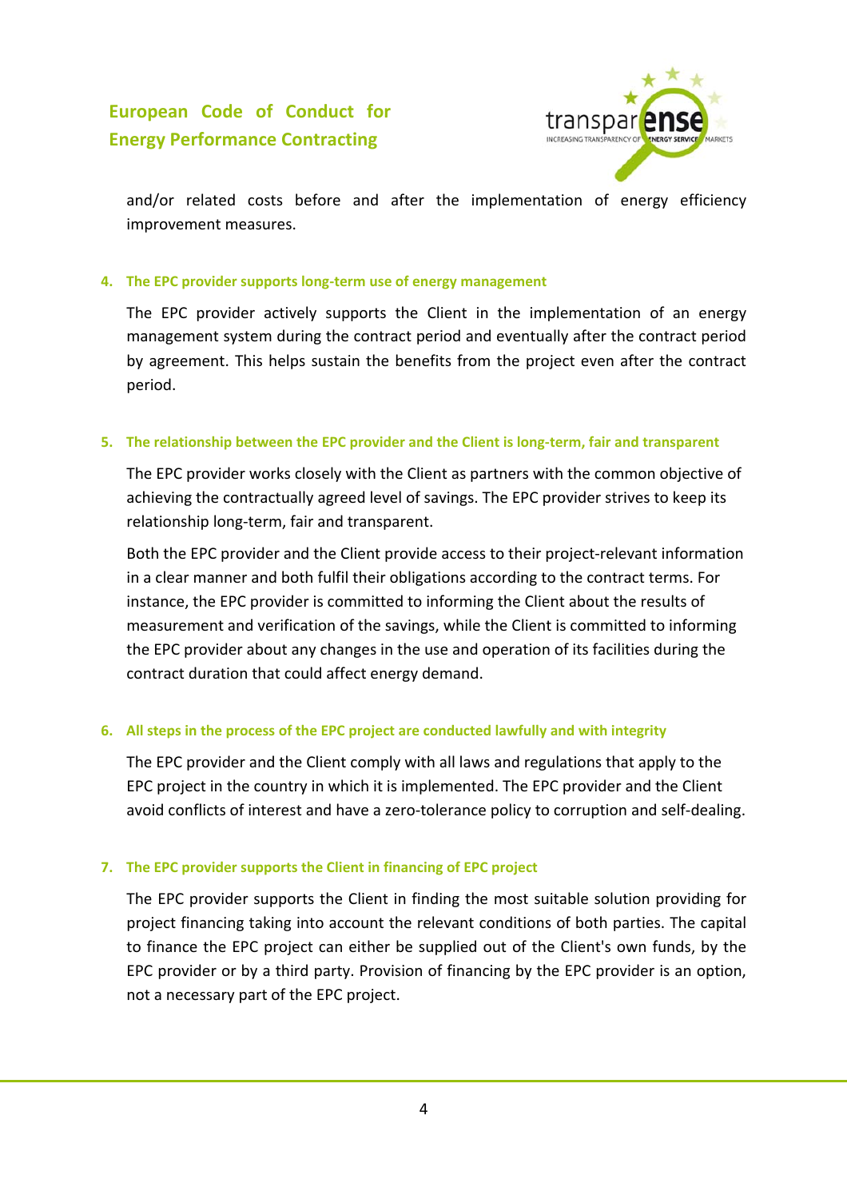

and/or related costs before and after the implementation of energy efficiency improvement measures.

#### **4. The EPC provider supports long‐term use of energy management**

The EPC provider actively supports the Client in the implementation of an energy management system during the contract period and eventually after the contract period by agreement. This helps sustain the benefits from the project even after the contract period.

#### **5. The relationship between the EPC provider and the Client is long‐term, fair and transparent**

The EPC provider works closely with the Client as partners with the common objective of achieving the contractually agreed level of savings. The EPC provider strives to keep its relationship long‐term, fair and transparent.

Both the EPC provider and the Client provide access to their project‐relevant information in a clear manner and both fulfil their obligations according to the contract terms. For instance, the EPC provider is committed to informing the Client about the results of measurement and verification of the savings, while the Client is committed to informing the EPC provider about any changes in the use and operation of its facilities during the contract duration that could affect energy demand.

#### **6. All steps in the process of the EPC project are conducted lawfully and with integrity**

The EPC provider and the Client comply with all laws and regulations that apply to the EPC project in the country in which it is implemented. The EPC provider and the Client avoid conflicts of interest and have a zero-tolerance policy to corruption and self-dealing.

#### **7. The EPC provider supports the Client in financing of EPC project**

The EPC provider supports the Client in finding the most suitable solution providing for project financing taking into account the relevant conditions of both parties. The capital to finance the EPC project can either be supplied out of the Client's own funds, by the EPC provider or by a third party. Provision of financing by the EPC provider is an option, not a necessary part of the EPC project.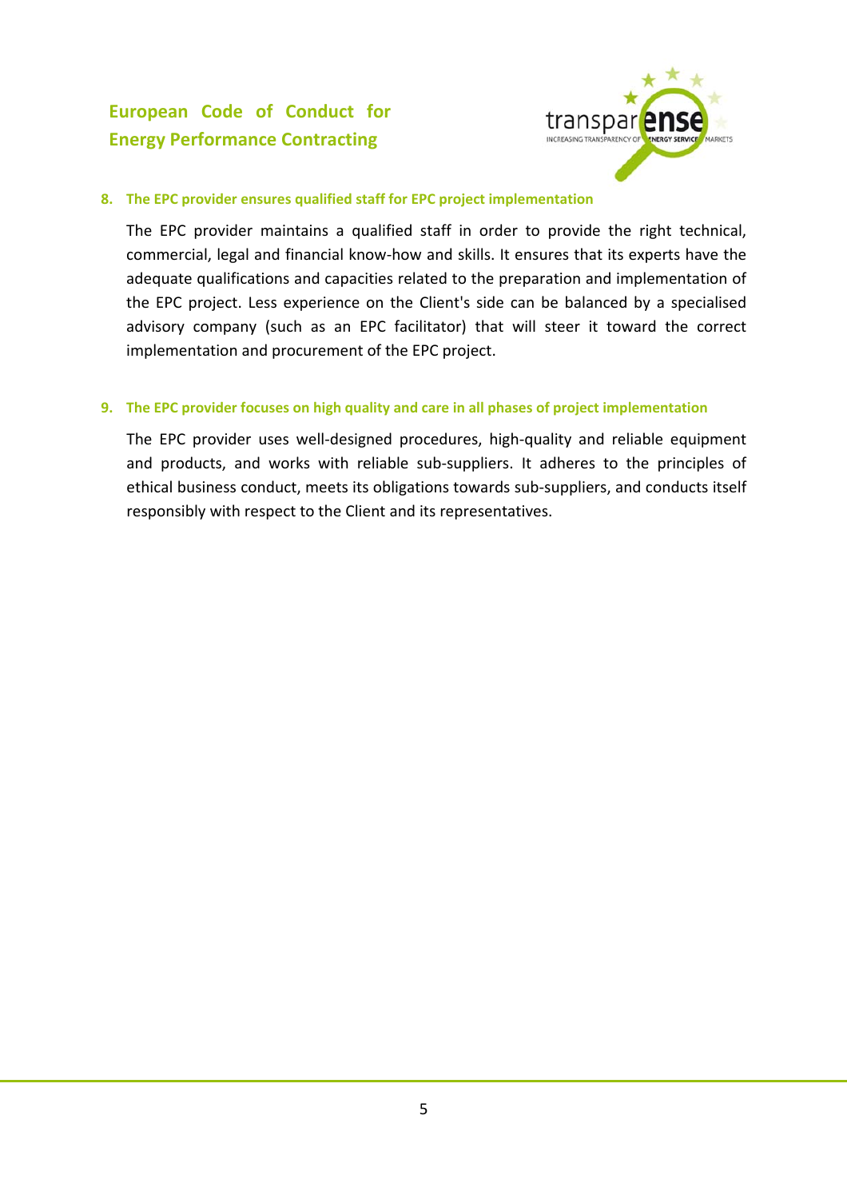

#### **8. The EPC provider ensures qualified staff for EPC project implementation**

The EPC provider maintains a qualified staff in order to provide the right technical, commercial, legal and financial know‐how and skills. It ensures that its experts have the adequate qualifications and capacities related to the preparation and implementation of the EPC project. Less experience on the Client's side can be balanced by a specialised advisory company (such as an EPC facilitator) that will steer it toward the correct implementation and procurement of the EPC project.

#### **9. The EPC provider focuses on high quality and care in all phases of project implementation**

The EPC provider uses well-designed procedures, high-quality and reliable equipment and products, and works with reliable sub-suppliers. It adheres to the principles of ethical business conduct, meets its obligations towards sub‐suppliers, and conducts itself responsibly with respect to the Client and its representatives.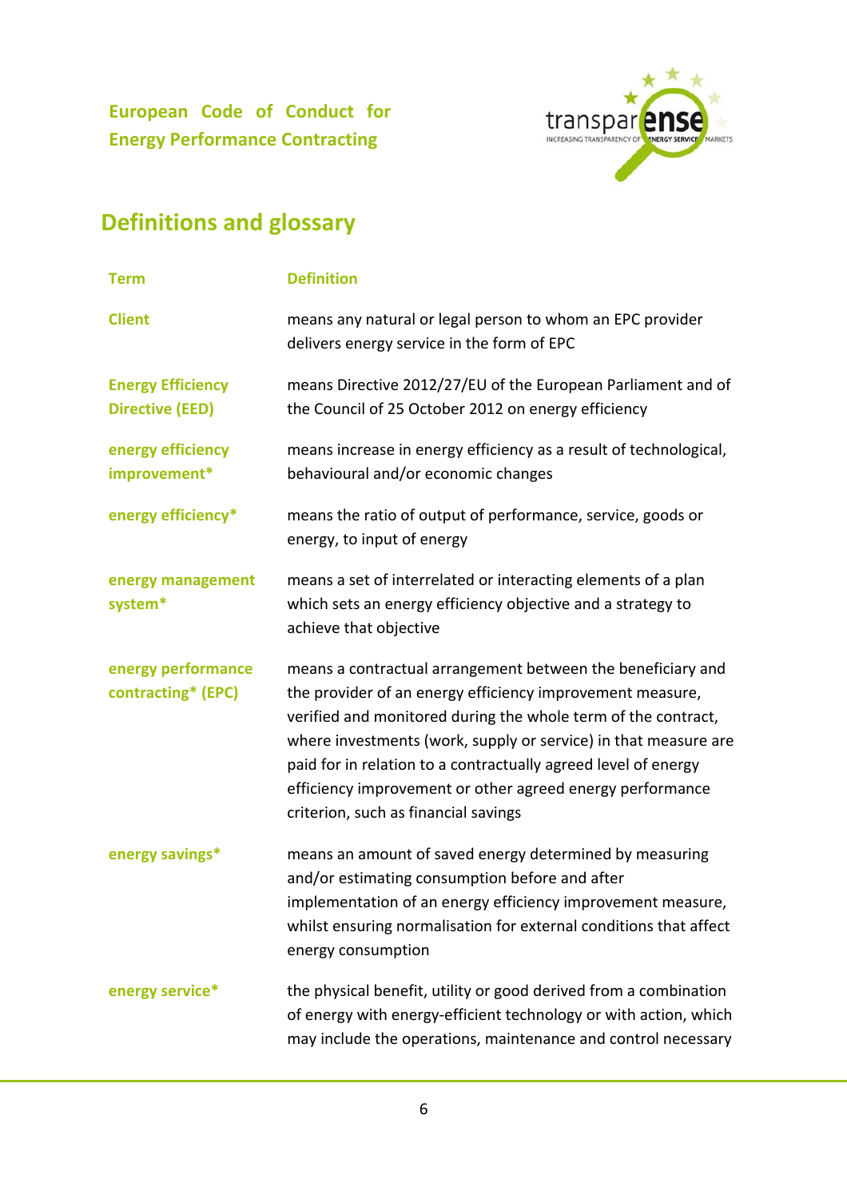

# **Definitions and glossary**

| <b>Term</b>                                        | <b>Definition</b>                                                                                                                                                                                                                                                                                                                                                                                                                   |
|----------------------------------------------------|-------------------------------------------------------------------------------------------------------------------------------------------------------------------------------------------------------------------------------------------------------------------------------------------------------------------------------------------------------------------------------------------------------------------------------------|
| <b>Client</b>                                      | means any natural or legal person to whom an EPC provider<br>delivers energy service in the form of EPC                                                                                                                                                                                                                                                                                                                             |
| <b>Energy Efficiency</b><br><b>Directive (EED)</b> | means Directive 2012/27/EU of the European Parliament and of<br>the Council of 25 October 2012 on energy efficiency                                                                                                                                                                                                                                                                                                                 |
| energy efficiency<br>improvement*                  | means increase in energy efficiency as a result of technological,<br>behavioural and/or economic changes                                                                                                                                                                                                                                                                                                                            |
| energy efficiency*                                 | means the ratio of output of performance, service, goods or<br>energy, to input of energy                                                                                                                                                                                                                                                                                                                                           |
| energy management<br>system*                       | means a set of interrelated or interacting elements of a plan<br>which sets an energy efficiency objective and a strategy to<br>achieve that objective                                                                                                                                                                                                                                                                              |
| energy performance<br>contracting* (EPC)           | means a contractual arrangement between the beneficiary and<br>the provider of an energy efficiency improvement measure,<br>verified and monitored during the whole term of the contract,<br>where investments (work, supply or service) in that measure are<br>paid for in relation to a contractually agreed level of energy<br>efficiency improvement or other agreed energy performance<br>criterion, such as financial savings |
| energy savings*                                    | means an amount of saved energy determined by measuring<br>and/or estimating consumption before and after<br>implementation of an energy efficiency improvement measure,<br>whilst ensuring normalisation for external conditions that affect<br>energy consumption                                                                                                                                                                 |
| energy service*                                    | the physical benefit, utility or good derived from a combination<br>of energy with energy-efficient technology or with action, which<br>may include the operations, maintenance and control necessary                                                                                                                                                                                                                               |